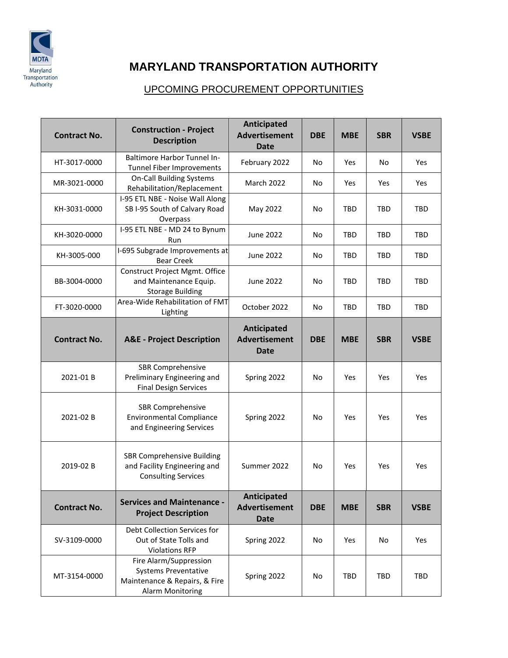

## **MARYLAND TRANSPORTATION AUTHORITY**

## UPCOMING PROCUREMENT OPPORTUNITIES

| <b>Contract No.</b> | <b>Construction - Project</b><br><b>Description</b>                                                               | Anticipated<br><b>Advertisement</b><br><b>Date</b> | <b>DBE</b> | <b>MBE</b> | <b>SBR</b> | <b>VSBE</b> |
|---------------------|-------------------------------------------------------------------------------------------------------------------|----------------------------------------------------|------------|------------|------------|-------------|
| HT-3017-0000        | <b>Baltimore Harbor Tunnel In-</b><br>Tunnel Fiber Improvements                                                   | February 2022                                      | No         | Yes        | No         | Yes         |
| MR-3021-0000        | <b>On-Call Building Systems</b><br>Rehabilitation/Replacement                                                     | <b>March 2022</b>                                  | No         | Yes        | Yes        | Yes         |
| KH-3031-0000        | I-95 ETL NBE - Noise Wall Along<br>SB I-95 South of Calvary Road<br>Overpass                                      | May 2022                                           | No         | TBD        | TBD        | TBD         |
| KH-3020-0000        | I-95 ETL NBE - MD 24 to Bynum<br>Run                                                                              | June 2022                                          | No         | TBD        | <b>TBD</b> | <b>TBD</b>  |
| KH-3005-000         | I-695 Subgrade Improvements at<br><b>Bear Creek</b>                                                               | June 2022                                          | No         | <b>TBD</b> | TBD        | TBD         |
| BB-3004-0000        | Construct Project Mgmt. Office<br>and Maintenance Equip.<br><b>Storage Building</b>                               | June 2022                                          | No         | <b>TBD</b> | TBD        | <b>TBD</b>  |
| FT-3020-0000        | Area-Wide Rehabilitation of FMT<br>Lighting                                                                       | October 2022                                       | No         | <b>TBD</b> | <b>TBD</b> | <b>TBD</b>  |
| <b>Contract No.</b> | <b>A&amp;E</b> - Project Description                                                                              | Anticipated<br><b>Advertisement</b><br><b>Date</b> | <b>DBE</b> | <b>MBE</b> | <b>SBR</b> | <b>VSBE</b> |
| 2021-01B            | <b>SBR Comprehensive</b><br>Preliminary Engineering and<br><b>Final Design Services</b>                           | Spring 2022                                        | No         | Yes        | Yes        | Yes         |
| 2021-02B            | <b>SBR Comprehensive</b><br><b>Environmental Compliance</b><br>and Engineering Services                           | Spring 2022                                        | No         | Yes        | Yes        | Yes         |
| 2019-02 B           | <b>SBR Comprehensive Building</b><br>and Facility Engineering and<br><b>Consulting Services</b>                   | Summer 2022                                        | No         | Yes        | Yes        | Yes         |
| <b>Contract No.</b> | <b>Services and Maintenance -</b><br><b>Project Description</b>                                                   | Anticipated<br><b>Advertisement</b><br><b>Date</b> | <b>DBE</b> | <b>MBE</b> | <b>SBR</b> | <b>VSBE</b> |
| SV-3109-0000        | Debt Collection Services for<br>Out of State Tolls and<br><b>Violations RFP</b>                                   | Spring 2022                                        | No         | Yes        | No         | Yes         |
| MT-3154-0000        | Fire Alarm/Suppression<br><b>Systems Preventative</b><br>Maintenance & Repairs, & Fire<br><b>Alarm Monitoring</b> | Spring 2022                                        | No         | <b>TBD</b> | <b>TBD</b> | <b>TBD</b>  |